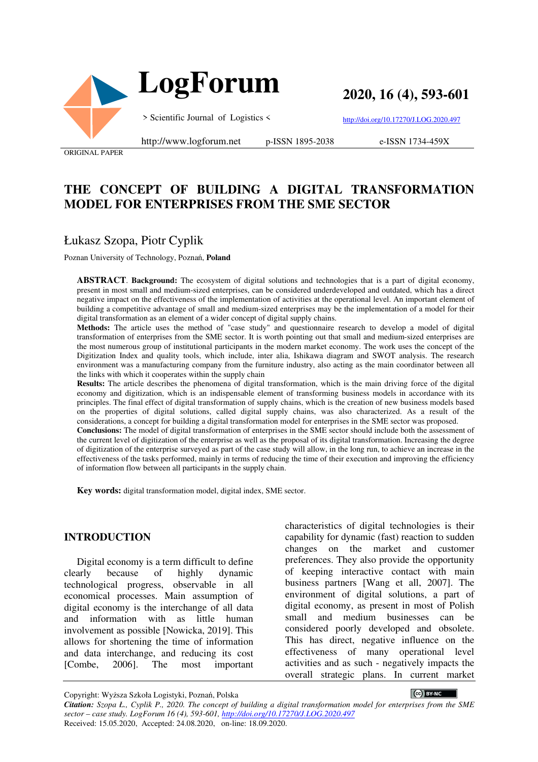

**2020, 16 (4), 593-601**

> Scientific Journal of Logistics <

http://www.logforum.net p-ISSN 1895-2038

http://doi.org/10.17270/J.LOG.2020.497

e-ISSN 1734-459X

ORIGINAL PAPER

# **THE CONCEPT OF BUILDING A DIGITAL TRANSFORMATION MODEL FOR ENTERPRISES FROM THE SME SECTOR**

## Łukasz Szopa, Piotr Cyplik

Poznan University of Technology, Poznań, **Poland**

**ABSTRACT**. **Background:** The ecosystem of digital solutions and technologies that is a part of digital economy, present in most small and medium-sized enterprises, can be considered underdeveloped and outdated, which has a direct negative impact on the effectiveness of the implementation of activities at the operational level. An important element of building a competitive advantage of small and medium-sized enterprises may be the implementation of a model for their digital transformation as an element of a wider concept of digital supply chains.

**Methods:** The article uses the method of "case study" and questionnaire research to develop a model of digital transformation of enterprises from the SME sector. It is worth pointing out that small and medium-sized enterprises are the most numerous group of institutional participants in the modern market economy. The work uses the concept of the Digitization Index and quality tools, which include, inter alia, Ishikawa diagram and SWOT analysis. The research environment was a manufacturing company from the furniture industry, also acting as the main coordinator between all the links with which it cooperates within the supply chain

**Results:** The article describes the phenomena of digital transformation, which is the main driving force of the digital economy and digitization, which is an indispensable element of transforming business models in accordance with its principles. The final effect of digital transformation of supply chains, which is the creation of new business models based on the properties of digital solutions, called digital supply chains, was also characterized. As a result of the considerations, a concept for building a digital transformation model for enterprises in the SME sector was proposed. **Conclusions:** The model of digital transformation of enterprises in the SME sector should include both the assessment of the current level of digitization of the enterprise as well as the proposal of its digital transformation. Increasing the degree of digitization of the enterprise surveyed as part of the case study will allow, in the long run, to achieve an increase in the effectiveness of the tasks performed, mainly in terms of reducing the time of their execution and improving the efficiency of information flow between all participants in the supply chain.

**Key words:** digital transformation model, digital index, SME sector.

#### **INTRODUCTION**

Digital economy is a term difficult to define clearly because of highly dynamic technological progress, observable in all economical processes. Main assumption of digital economy is the interchange of all data and information with as little human involvement as possible [Nowicka, 2019]. This allows for shortening the time of information and data interchange, and reducing its cost [Combe, 2006]. The most important

characteristics of digital technologies is their capability for dynamic (fast) reaction to sudden changes on the market and customer preferences. They also provide the opportunity of keeping interactive contact with main business partners [Wang et all, 2007]. The environment of digital solutions, a part of digital economy, as present in most of Polish small and medium businesses can be considered poorly developed and obsolete. This has direct, negative influence on the effectiveness of many operational level activities and as such - negatively impacts the overall strategic plans. In current market

Copyright: Wyższa Szkoła Logistyki, Poznań, Polska

CC BY-NC

*Citation: Szopa Ł., Cyplik P., 2020. The concept of building a digital transformation model for enterprises from the SME sector – case study. LogForum 16 (4), 593-601, http://doi.org/10.17270/J.LOG.2020.497*  Received: 15.05.2020, Accepted: 24.08.2020, on-line: 18.09.2020.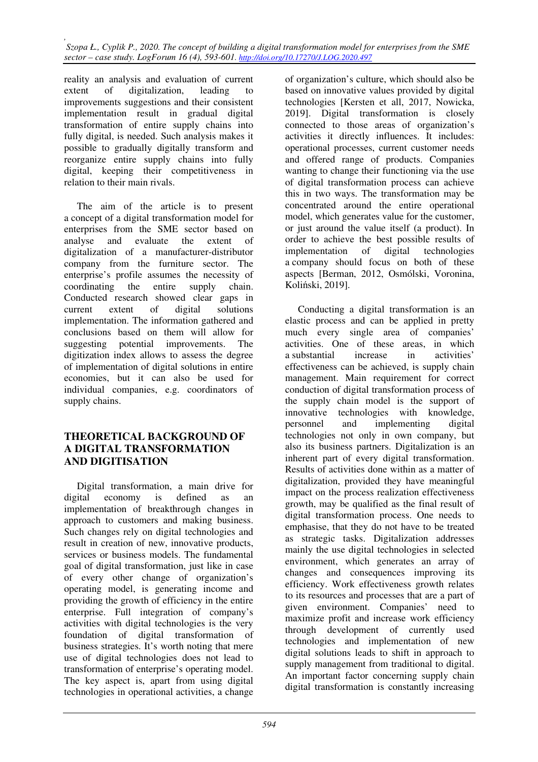*, Szopa Ł., Cyplik P., 2020. The concept of building a digital transformation model for enterprises from the SME sector – case study. LogForum 16 (4), 593-601. http://doi.org/10.17270/J.LOG.2020.497* 

reality an analysis and evaluation of current extent of digitalization, leading to improvements suggestions and their consistent implementation result in gradual digital transformation of entire supply chains into fully digital, is needed. Such analysis makes it possible to gradually digitally transform and reorganize entire supply chains into fully digital, keeping their competitiveness in relation to their main rivals.

The aim of the article is to present a concept of a digital transformation model for enterprises from the SME sector based on analyse and evaluate the extent of digitalization of a manufacturer-distributor company from the furniture sector. The enterprise's profile assumes the necessity of coordinating the entire supply chain. Conducted research showed clear gaps in current extent of digital solutions implementation. The information gathered and conclusions based on them will allow for suggesting potential improvements. The digitization index allows to assess the degree of implementation of digital solutions in entire economies, but it can also be used for individual companies, e.g. coordinators of supply chains.

### **THEORETICAL BACKGROUND OF A DIGITAL TRANSFORMATION AND DIGITISATION**

Digital transformation, a main drive for digital economy is defined as an implementation of breakthrough changes in approach to customers and making business. Such changes rely on digital technologies and result in creation of new, innovative products, services or business models. The fundamental goal of digital transformation, just like in case of every other change of organization's operating model, is generating income and providing the growth of efficiency in the entire enterprise. Full integration of company's activities with digital technologies is the very foundation of digital transformation of business strategies. It's worth noting that mere use of digital technologies does not lead to transformation of enterprise's operating model. The key aspect is, apart from using digital technologies in operational activities, a change

of organization's culture, which should also be based on innovative values provided by digital technologies [Kersten et all, 2017, Nowicka, 2019]. Digital transformation is closely connected to those areas of organization's activities it directly influences. It includes: operational processes, current customer needs and offered range of products. Companies wanting to change their functioning via the use of digital transformation process can achieve this in two ways. The transformation may be concentrated around the entire operational model, which generates value for the customer, or just around the value itself (a product). In order to achieve the best possible results of implementation of digital technologies a company should focus on both of these aspects [Berman, 2012, Osmólski, Voronina, Koliński, 2019].

Conducting a digital transformation is an elastic process and can be applied in pretty much every single area of companies' activities. One of these areas, in which a substantial increase in activities' effectiveness can be achieved, is supply chain management. Main requirement for correct conduction of digital transformation process of the supply chain model is the support of innovative technologies with knowledge, personnel and implementing digital technologies not only in own company, but also its business partners. Digitalization is an inherent part of every digital transformation. Results of activities done within as a matter of digitalization, provided they have meaningful impact on the process realization effectiveness growth, may be qualified as the final result of digital transformation process. One needs to emphasise, that they do not have to be treated as strategic tasks. Digitalization addresses mainly the use digital technologies in selected environment, which generates an array of changes and consequences improving its efficiency. Work effectiveness growth relates to its resources and processes that are a part of given environment. Companies' need to maximize profit and increase work efficiency through development of currently used technologies and implementation of new digital solutions leads to shift in approach to supply management from traditional to digital. An important factor concerning supply chain digital transformation is constantly increasing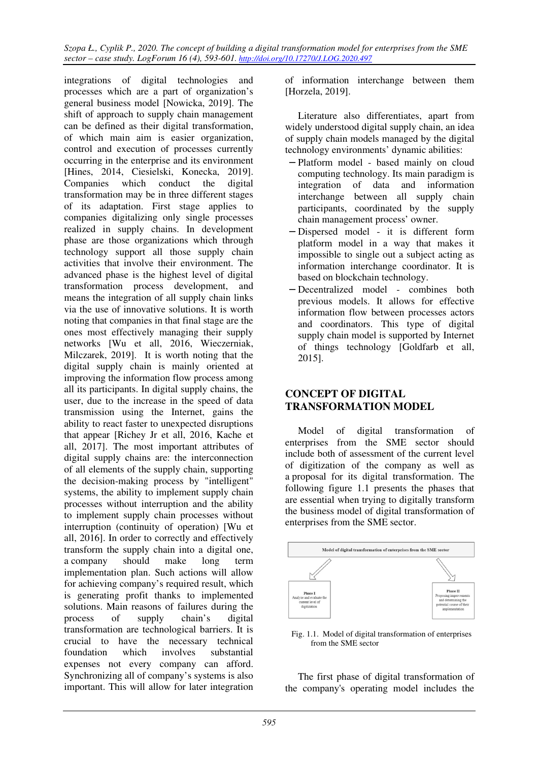*Szopa Ł., Cyplik P., 2020. The concept of building a digital transformation model for enterprises from the SME sector – case study. LogForum 16 (4), 593-601. http://doi.org/10.17270/J.LOG.2020.497* 

integrations of digital technologies and processes which are a part of organization's general business model [Nowicka, 2019]. The shift of approach to supply chain management can be defined as their digital transformation, of which main aim is easier organization, control and execution of processes currently occurring in the enterprise and its environment [Hines, 2014, Ciesielski, Konecka, 2019]. Companies which conduct the digital transformation may be in three different stages of its adaptation. First stage applies to companies digitalizing only single processes realized in supply chains. In development phase are those organizations which through technology support all those supply chain activities that involve their environment. The advanced phase is the highest level of digital transformation process development, and means the integration of all supply chain links via the use of innovative solutions. It is worth noting that companies in that final stage are the ones most effectively managing their supply networks [Wu et all, 2016, Wieczerniak, Milczarek, 2019]. It is worth noting that the digital supply chain is mainly oriented at improving the information flow process among all its participants. In digital supply chains, the user, due to the increase in the speed of data transmission using the Internet, gains the ability to react faster to unexpected disruptions that appear [Richey Jr et all, 2016, Kache et all, 2017]. The most important attributes of digital supply chains are: the interconnection of all elements of the supply chain, supporting the decision-making process by "intelligent" systems, the ability to implement supply chain processes without interruption and the ability to implement supply chain processes without interruption (continuity of operation) [Wu et all, 2016]. In order to correctly and effectively transform the supply chain into a digital one, a company should make long term implementation plan. Such actions will allow for achieving company's required result, which is generating profit thanks to implemented solutions. Main reasons of failures during the process of supply chain's digital transformation are technological barriers. It is crucial to have the necessary technical foundation which involves substantial expenses not every company can afford. Synchronizing all of company's systems is also important. This will allow for later integration

of information interchange between them [Horzela, 2019].

Literature also differentiates, apart from widely understood digital supply chain, an idea of supply chain models managed by the digital technology environments' dynamic abilities:

- − Platform model based mainly on cloud computing technology. Its main paradigm is integration of data and information interchange between all supply chain participants, coordinated by the supply chain management process' owner.
- − Dispersed model it is different form platform model in a way that makes it impossible to single out a subject acting as information interchange coordinator. It is based on blockchain technology.
- − Decentralized model combines both previous models. It allows for effective information flow between processes actors and coordinators. This type of digital supply chain model is supported by Internet of things technology [Goldfarb et all, 2015].

### **CONCEPT OF DIGITAL TRANSFORMATION MODEL**

Model of digital transformation of enterprises from the SME sector should include both of assessment of the current level of digitization of the company as well as a proposal for its digital transformation. The following figure 1.1 presents the phases that are essential when trying to digitally transform the business model of digital transformation of enterprises from the SME sector.



Fig. 1.1. Model of digital transformation of enterprises from the SME sector

The first phase of digital transformation of the company's operating model includes the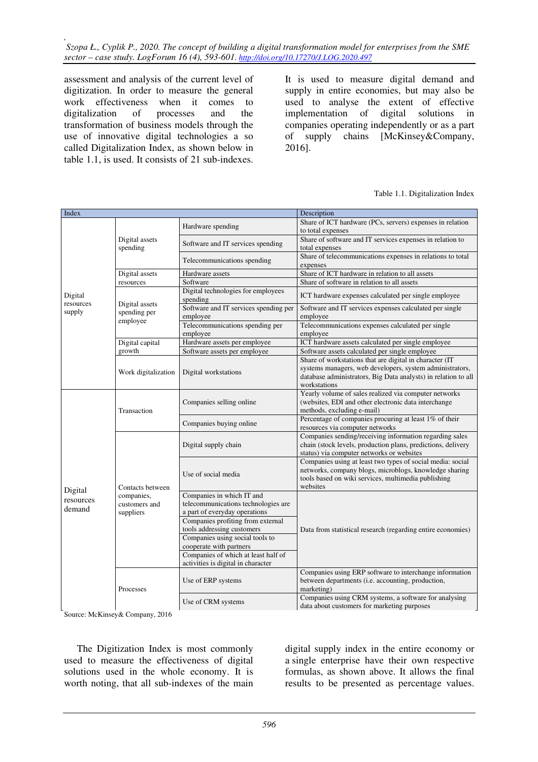assessment and analysis of the current level of digitization. In order to measure the general work effectiveness when it comes to digitalization of processes and the transformation of business models through the use of innovative digital technologies a so called Digitalization Index, as shown below in table 1.1, is used. It consists of 21 sub-indexes.

It is used to measure digital demand and supply in entire economies, but may also be used to analyse the extent of effective implementation of digital solutions in companies operating independently or as a part of supply chains [McKinsey&Company, 2016].

#### Table 1.1. Digitalization Index

| Index                          |                                                                           |                                                | Description                                                                                                  |  |  |  |  |  |
|--------------------------------|---------------------------------------------------------------------------|------------------------------------------------|--------------------------------------------------------------------------------------------------------------|--|--|--|--|--|
| Digital<br>resources<br>supply |                                                                           |                                                | Share of ICT hardware (PCs, servers) expenses in relation                                                    |  |  |  |  |  |
|                                |                                                                           | Hardware spending                              | to total expenses                                                                                            |  |  |  |  |  |
|                                | Digital assets                                                            | Software and IT services spending              | Share of software and IT services expenses in relation to                                                    |  |  |  |  |  |
|                                | spending                                                                  |                                                | total expenses                                                                                               |  |  |  |  |  |
|                                |                                                                           | Telecommunications spending                    | Share of telecommunications expenses in relations to total                                                   |  |  |  |  |  |
|                                |                                                                           |                                                | expenses                                                                                                     |  |  |  |  |  |
|                                | Digital assets                                                            | Hardware assets                                | Share of ICT hardware in relation to all assets                                                              |  |  |  |  |  |
|                                | resources                                                                 | Software                                       | Share of software in relation to all assets                                                                  |  |  |  |  |  |
|                                | Digital assets<br>spending per<br>employee                                | Digital technologies for employees<br>spending | ICT hardware expenses calculated per single employee                                                         |  |  |  |  |  |
|                                |                                                                           | Software and IT services spending per          | Software and IT services expenses calculated per single                                                      |  |  |  |  |  |
|                                |                                                                           | employee                                       | employee                                                                                                     |  |  |  |  |  |
|                                |                                                                           | Telecommunications spending per                | Telecommunications expenses calculated per single                                                            |  |  |  |  |  |
|                                |                                                                           | employee                                       | employee                                                                                                     |  |  |  |  |  |
|                                | Digital capital                                                           | Hardware assets per employee                   | ICT hardware assets calculated per single employee                                                           |  |  |  |  |  |
|                                | growth                                                                    | Software assets per employee                   | Software assets calculated per single employee                                                               |  |  |  |  |  |
|                                | Work digitalization                                                       |                                                | Share of workstations that are digital in character (IT                                                      |  |  |  |  |  |
|                                |                                                                           | Digital workstations                           | systems managers, web developers, system administrators,                                                     |  |  |  |  |  |
|                                |                                                                           |                                                | database administrators, Big Data analysts) in relation to all                                               |  |  |  |  |  |
|                                |                                                                           |                                                | workstations                                                                                                 |  |  |  |  |  |
|                                | Transaction                                                               |                                                | Yearly volume of sales realized via computer networks                                                        |  |  |  |  |  |
|                                |                                                                           | Companies selling online                       | (websites, EDI and other electronic data interchange<br>methods, excluding e-mail)                           |  |  |  |  |  |
|                                |                                                                           |                                                | Percentage of companies procuring at least 1% of their                                                       |  |  |  |  |  |
|                                |                                                                           | Companies buying online                        | resources via computer networks                                                                              |  |  |  |  |  |
|                                | Contacts between<br>companies,<br>customers and<br>suppliers<br>Processes | Digital supply chain                           | Companies sending/receiving information regarding sales                                                      |  |  |  |  |  |
|                                |                                                                           |                                                | chain (stock levels, production plans, predictions, delivery                                                 |  |  |  |  |  |
| Digital<br>resources<br>demand |                                                                           |                                                | status) via computer networks or websites                                                                    |  |  |  |  |  |
|                                |                                                                           | Use of social media                            | Companies using at least two types of social media: social                                                   |  |  |  |  |  |
|                                |                                                                           |                                                | networks, company blogs, microblogs, knowledge sharing                                                       |  |  |  |  |  |
|                                |                                                                           |                                                | tools based on wiki services, multimedia publishing                                                          |  |  |  |  |  |
|                                |                                                                           |                                                | websites                                                                                                     |  |  |  |  |  |
|                                |                                                                           | Companies in which IT and                      |                                                                                                              |  |  |  |  |  |
|                                |                                                                           | telecommunications technologies are            |                                                                                                              |  |  |  |  |  |
|                                |                                                                           | a part of everyday operations                  |                                                                                                              |  |  |  |  |  |
|                                |                                                                           | Companies profiting from external              |                                                                                                              |  |  |  |  |  |
|                                |                                                                           | tools addressing customers                     | Data from statistical research (regarding entire economies)                                                  |  |  |  |  |  |
|                                |                                                                           | Companies using social tools to                |                                                                                                              |  |  |  |  |  |
|                                |                                                                           | cooperate with partners                        |                                                                                                              |  |  |  |  |  |
|                                |                                                                           | Companies of which at least half of            |                                                                                                              |  |  |  |  |  |
|                                |                                                                           | activities is digital in character             |                                                                                                              |  |  |  |  |  |
|                                |                                                                           | Use of ERP systems                             | Companies using ERP software to interchange information<br>between departments (i.e. accounting, production, |  |  |  |  |  |
|                                |                                                                           |                                                | marketing)                                                                                                   |  |  |  |  |  |
|                                |                                                                           |                                                | Companies using CRM systems, a software for analysing                                                        |  |  |  |  |  |
|                                |                                                                           | Use of CRM systems                             | data about customers for marketing purposes                                                                  |  |  |  |  |  |

Source: McKinsey& Company, 2016

The Digitization Index is most commonly used to measure the effectiveness of digital solutions used in the whole economy. It is worth noting, that all sub-indexes of the main

digital supply index in the entire economy or a single enterprise have their own respective formulas, as shown above. It allows the final results to be presented as percentage values.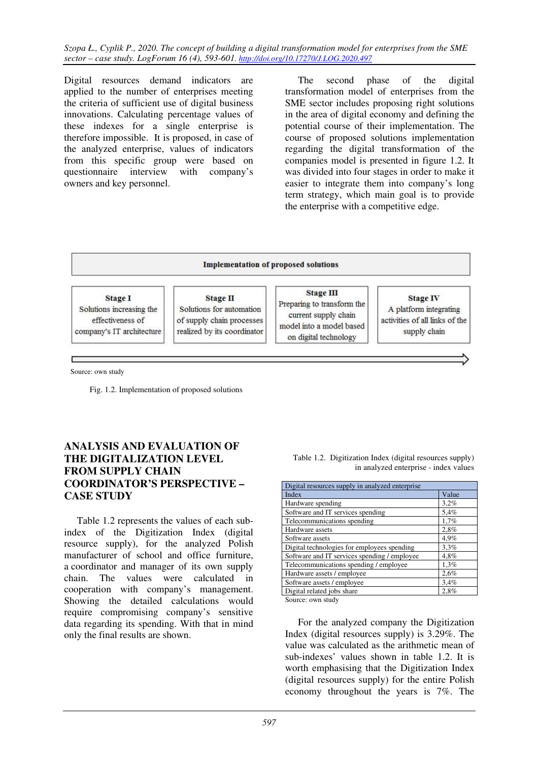*Szopa Ł., Cyplik P., 2020. The concept of building a digital transformation model for enterprises from the SME sector – case study. LogForum 16 (4), 593-601. http://doi.org/10.17270/J.LOG.2020.497* 

Digital resources demand indicators are applied to the number of enterprises meeting the criteria of sufficient use of digital business innovations. Calculating percentage values of these indexes for a single enterprise is therefore impossible. It is proposed, in case of the analyzed enterprise, values of indicators from this specific group were based on questionnaire interview with company's owners and key personnel.

The second phase of the digital transformation model of enterprises from the SME sector includes proposing right solutions in the area of digital economy and defining the potential course of their implementation. The course of proposed solutions implementation regarding the digital transformation of the companies model is presented in figure 1.2. It was divided into four stages in order to make it easier to integrate them into company's long term strategy, which main goal is to provide the enterprise with a competitive edge.

#### **Implementation of proposed solutions**

**Stage I** Solutions increasing the effectiveness of company's IT architecture

**Stage II** Solutions for automation of supply chain processes realized by its coordinator

**Stage III** Preparing to transform the current supply chain model into a model based on digital technology

**Stage IV** A platform integrating activities of all links of the supply chain

Source: own study

Fig. 1.2. Implementation of proposed solutions

### **ANALYSIS AND EVALUATION OF THE DIGITALIZATION LEVEL FROM SUPPLY CHAIN COORDINATOR'S PERSPECTIVE – CASE STUDY**

Table 1.2 represents the values of each subindex of the Digitization Index (digital resource supply), for the analyzed Polish manufacturer of school and office furniture, a coordinator and manager of its own supply chain. The values were calculated in cooperation with company's management. Showing the detailed calculations would require compromising company's sensitive data regarding its spending. With that in mind only the final results are shown.

| Digital resources supply in analyzed enterprise |       |  |  |  |  |  |
|-------------------------------------------------|-------|--|--|--|--|--|
| Index                                           | Value |  |  |  |  |  |
| Hardware spending                               | 3,2%  |  |  |  |  |  |
| Software and IT services spending               | 5.4%  |  |  |  |  |  |
| Telecommunications spending                     | 1,7%  |  |  |  |  |  |
| Hardware assets                                 | 2,8%  |  |  |  |  |  |
| Software assets                                 | 4.9%  |  |  |  |  |  |
| Digital technologies for employees spending     | 3.3%  |  |  |  |  |  |
| Software and IT services spending / employee    | 4,8%  |  |  |  |  |  |
| Telecommunications spending / employee          | 1,3%  |  |  |  |  |  |
| Hardware assets / employee                      | 2,6%  |  |  |  |  |  |
| Software assets / employee                      | 3,4%  |  |  |  |  |  |
| Digital related jobs share                      | 2,8%  |  |  |  |  |  |
|                                                 |       |  |  |  |  |  |

Table 1.2. Digitization Index (digital resources supply) in analyzed enterprise - index values

Source: own study

For the analyzed company the Digitization Index (digital resources supply) is 3.29%. The value was calculated as the arithmetic mean of sub-indexes' values shown in table 1.2. It is worth emphasising that the Digitization Index (digital resources supply) for the entire Polish economy throughout the years is 7%. The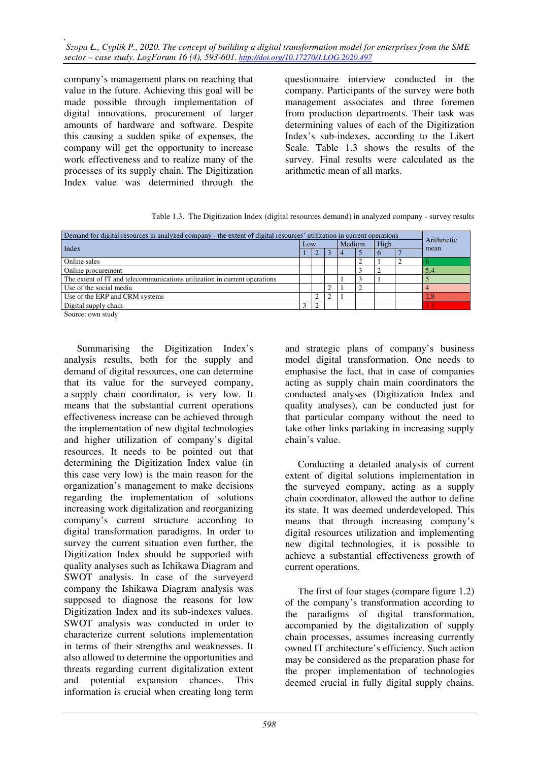*, Szopa Ł., Cyplik P., 2020. The concept of building a digital transformation model for enterprises from the SME sector – case study. LogForum 16 (4), 593-601. http://doi.org/10.17270/J.LOG.2020.497* 

company's management plans on reaching that value in the future. Achieving this goal will be made possible through implementation of digital innovations, procurement of larger amounts of hardware and software. Despite this causing a sudden spike of expenses, the company will get the opportunity to increase work effectiveness and to realize many of the processes of its supply chain. The Digitization Index value was determined through the

questionnaire interview conducted in the company. Participants of the survey were both management associates and three foremen from production departments. Their task was determining values of each of the Digitization Index's sub-indexes, according to the Likert Scale. Table 1.3 shows the results of the survey. Final results were calculated as the arithmetic mean of all marks.

Table 1.3. The Digitization Index (digital resources demand) in analyzed company - survey results

| Demand for digital resources in analyzed company - the extent of digital resources' utilization in current operations |   |     |  |  |        |  |  |            |  |
|-----------------------------------------------------------------------------------------------------------------------|---|-----|--|--|--------|--|--|------------|--|
| Index                                                                                                                 |   | Low |  |  | Medium |  |  | Arithmetic |  |
|                                                                                                                       |   |     |  |  |        |  |  | mean       |  |
| Online sales                                                                                                          |   |     |  |  |        |  |  |            |  |
| Online procurement                                                                                                    |   |     |  |  |        |  |  | 5,4        |  |
| The extent of IT and telecommunications utilization in current operations                                             |   |     |  |  |        |  |  |            |  |
| Use of the social media                                                                                               |   |     |  |  |        |  |  |            |  |
| Use of the ERP and CRM systems                                                                                        |   |     |  |  |        |  |  | 2.8        |  |
| Digital supply chain                                                                                                  | 3 |     |  |  |        |  |  | $\cdot$    |  |
| Common common della                                                                                                   |   |     |  |  |        |  |  |            |  |

Source: own study

Summarising the Digitization Index's analysis results, both for the supply and demand of digital resources, one can determine that its value for the surveyed company, a supply chain coordinator, is very low. It means that the substantial current operations effectiveness increase can be achieved through the implementation of new digital technologies and higher utilization of company's digital resources. It needs to be pointed out that determining the Digitization Index value (in this case very low) is the main reason for the organization's management to make decisions regarding the implementation of solutions increasing work digitalization and reorganizing company's current structure according to digital transformation paradigms. In order to survey the current situation even further, the Digitization Index should be supported with quality analyses such as Ichikawa Diagram and SWOT analysis. In case of the surveyerd company the Ishikawa Diagram analysis was supposed to diagnose the reasons for low Digitization Index and its sub-indexes values. SWOT analysis was conducted in order to characterize current solutions implementation in terms of their strengths and weaknesses. It also allowed to determine the opportunities and threats regarding current digitalization extent and potential expansion chances. This information is crucial when creating long term

and strategic plans of company's business model digital transformation. One needs to emphasise the fact, that in case of companies acting as supply chain main coordinators the conducted analyses (Digitization Index and quality analyses), can be conducted just for that particular company without the need to take other links partaking in increasing supply chain's value.

Conducting a detailed analysis of current extent of digital solutions implementation in the surveyed company, acting as a supply chain coordinator, allowed the author to define its state. It was deemed underdeveloped. This means that through increasing company's digital resources utilization and implementing new digital technologies, it is possible to achieve a substantial effectiveness growth of current operations.

The first of four stages (compare figure 1.2) of the company's transformation according to the paradigms of digital transformation, accompanied by the digitalization of supply chain processes, assumes increasing currently owned IT architecture's efficiency. Such action may be considered as the preparation phase for the proper implementation of technologies deemed crucial in fully digital supply chains.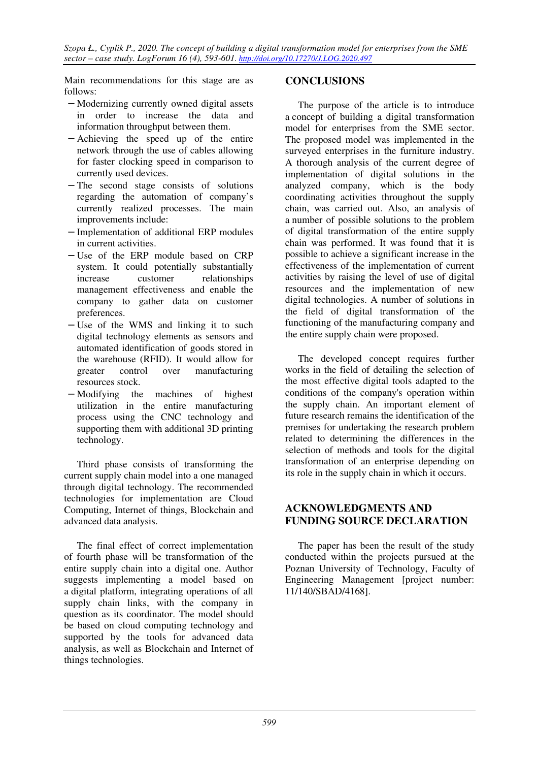Main recommendations for this stage are as follows:

- − Modernizing currently owned digital assets in order to increase the data and information throughput between them.
- − Achieving the speed up of the entire network through the use of cables allowing for faster clocking speed in comparison to currently used devices.
- − The second stage consists of solutions regarding the automation of company's currently realized processes. The main improvements include:
- − Implementation of additional ERP modules in current activities.
- − Use of the ERP module based on CRP system. It could potentially substantially increase customer relationships management effectiveness and enable the company to gather data on customer preferences.
- − Use of the WMS and linking it to such digital technology elements as sensors and automated identification of goods stored in the warehouse (RFID). It would allow for greater control over manufacturing resources stock.
- − Modifying the machines of highest utilization in the entire manufacturing process using the CNC technology and supporting them with additional 3D printing technology.

Third phase consists of transforming the current supply chain model into a one managed through digital technology. The recommended technologies for implementation are Cloud Computing, Internet of things, Blockchain and advanced data analysis.

The final effect of correct implementation of fourth phase will be transformation of the entire supply chain into a digital one. Author suggests implementing a model based on a digital platform, integrating operations of all supply chain links, with the company in question as its coordinator. The model should be based on cloud computing technology and supported by the tools for advanced data analysis, as well as Blockchain and Internet of things technologies.

## **CONCLUSIONS**

The purpose of the article is to introduce a concept of building a digital transformation model for enterprises from the SME sector. The proposed model was implemented in the surveyed enterprises in the furniture industry. A thorough analysis of the current degree of implementation of digital solutions in the analyzed company, which is the body coordinating activities throughout the supply chain, was carried out. Also, an analysis of a number of possible solutions to the problem of digital transformation of the entire supply chain was performed. It was found that it is possible to achieve a significant increase in the effectiveness of the implementation of current activities by raising the level of use of digital resources and the implementation of new digital technologies. A number of solutions in the field of digital transformation of the functioning of the manufacturing company and the entire supply chain were proposed.

The developed concept requires further works in the field of detailing the selection of the most effective digital tools adapted to the conditions of the company's operation within the supply chain. An important element of future research remains the identification of the premises for undertaking the research problem related to determining the differences in the selection of methods and tools for the digital transformation of an enterprise depending on its role in the supply chain in which it occurs.

## **ACKNOWLEDGMENTS AND FUNDING SOURCE DECLARATION**

The paper has been the result of the study conducted within the projects pursued at the Poznan University of Technology, Faculty of Engineering Management [project number: 11/140/SBAD/4168].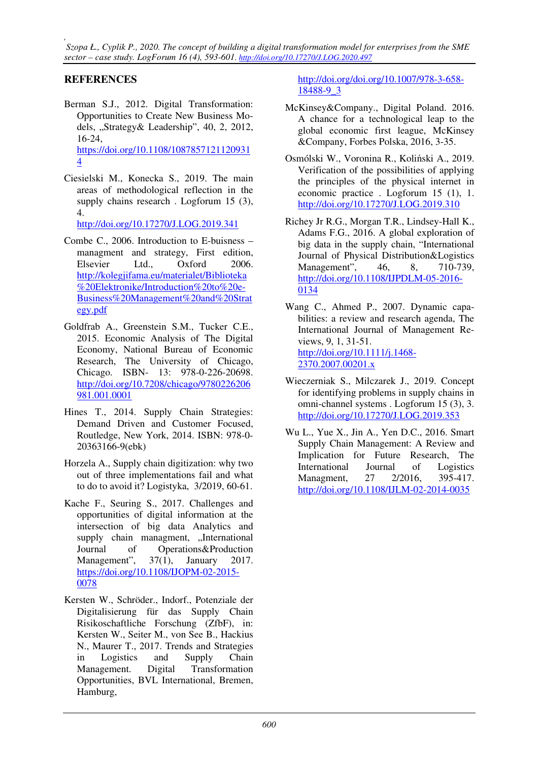*, Szopa Ł., Cyplik P., 2020. The concept of building a digital transformation model for enterprises from the SME sector – case study. LogForum 16 (4), 593-601. http://doi.org/10.17270/J.LOG.2020.497* 

## **REFERENCES**

- Berman S.J., 2012. Digital Transformation: Opportunities to Create New Business Models, "Strategy& Leadership", 40, 2, 2012, 16-24, https://doi.org/10.1108/1087857121120931 4
- Ciesielski M., Konecka S., 2019. The main areas of methodological reflection in the supply chains research . Logforum 15 (3), 4.

http://doi.org/10.17270/J.LOG.2019.341

- Combe C., 2006. Introduction to E-buisness managment and strategy, First edition, Elsevier Ltd., Oxford 2006. http://kolegjifama.eu/materialet/Biblioteka %20Elektronike/Introduction%20to%20e-Business%20Management%20and%20Strat egy.pdf
- Goldfrab A., Greenstein S.M., Tucker C.E., 2015. Economic Analysis of The Digital Economy, National Bureau of Economic Research, The University of Chicago, Chicago. ISBN- 13: 978-0-226-20698. http://doi.org/10.7208/chicago/9780226206 981.001.0001
- Hines T., 2014. Supply Chain Strategies: Demand Driven and Customer Focused, Routledge, New York, 2014. ISBN: 978-0- 20363166-9(ebk)
- Horzela A., Supply chain digitization: why two out of three implementations fail and what to do to avoid it? Logistyka, 3/2019, 60-61.
- Kache F., Seuring S., 2017. Challenges and opportunities of digital information at the intersection of big data Analytics and supply chain managment, "International Journal of Operations&Production Management", 37(1), January 2017. https://doi.org/10.1108/IJOPM-02-2015- 0078
- Kersten W., Schröder., Indorf., Potenziale der Digitalisierung für das Supply Chain Risikoschaftliche Forschung (ZfbF), in: Kersten W., Seiter M., von See B., Hackius N., Maurer T., 2017. Trends and Strategies in Logistics and Supply Chain Management. Digital Transformation Opportunities, BVL International, Bremen, Hamburg,

http://doi.org/doi.org/10.1007/978-3-658- 18488-9\_3

- McKinsey&Company., Digital Poland. 2016. A chance for a technological leap to the global economic first league, McKinsey &Company, Forbes Polska, 2016, 3-35.
- Osmólski W., Voronina R., Koliński A., 2019. Verification of the possibilities of applying the principles of the physical internet in economic practice . Logforum 15 (1), 1. http://doi.org/10.17270/J.LOG.2019.310
- Richey Jr R.G., Morgan T.R., Lindsey-Hall K., Adams F.G., 2016. A global exploration of big data in the supply chain, "International Journal of Physical Distribution&Logistics Management", 46, 8, 710-739, http://doi.org/10.1108/IJPDLM-05-2016- 0134
- Wang C., Ahmed P., 2007. Dynamic capabilities: a review and research agenda, The International Journal of Management Reviews, 9, 1, 31-51. http://doi.org/10.1111/j.1468- 2370.2007.00201.x
- Wieczerniak S., Milczarek J., 2019. Concept for identifying problems in supply chains in omni-channel systems . Logforum 15 (3), 3. http://doi.org/10.17270/J.LOG.2019.353
- Wu L., Yue X., Jin A., Yen D.C., 2016. Smart Supply Chain Management: A Review and Implication for Future Research, The International Journal of Logistics Managment, 27 2/2016, 395-417. http://doi.org/10.1108/IJLM-02-2014-0035